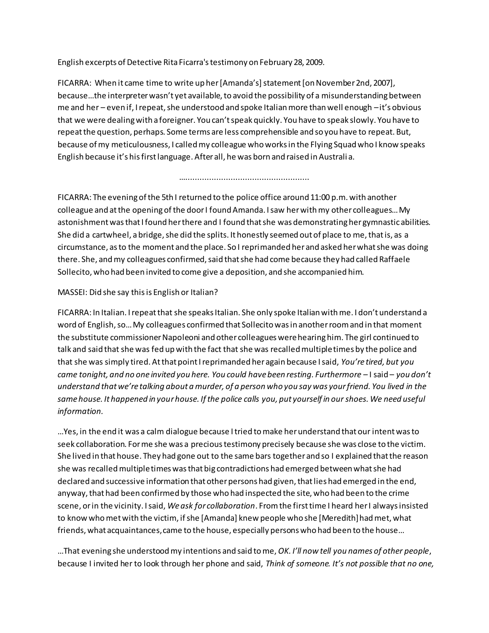English excerpts of Detective Rita Ficarra's testimony on February 28, 2009.

FICARRA: When it came time to write up her [Amanda's] statement [on November 2nd, 2007], because…the interpreter wasn't yet available, to avoid the possibility of a misunderstanding between me and her – even if, I repeat, she understood and spoke Italian more than well enough –it's obvious that we were dealing with a foreigner. You can't speak quickly. You have to speak slowly. You have to repeat the question, perhaps. Some terms are less comprehensible and so you have to repeat. But, because of my meticulousness, I called my colleague who works in the Flying Squad who I know speaks English because it's his first language. After all, he was born and raised in Australi a.

FICARRA: The evening of the 5th I returned to the police office around 11:00 p.m. with another colleague and at the opening of the door I found Amanda. I saw her with my other colleagues… My astonishment was that I found her there and I found that she was demonstrating her gymnastic abilities. She did a cartwheel, a bridge, she did the splits. It honestly seemed out of place to me, that is, as a circumstance, as to the moment and the place. So I reprimanded her and asked her what she was doing there. She, and my colleagues confirmed, said that she had come because they had called Raffaele Sollecito, who had been invited to come give a deposition, and she accompanied him.

…....................................................

### MASSEI: Did she say this is English or Italian?

FICARRA: In Italian. I repeat that she speaks Italian. She only spoke Italian with me. I don't understand a word of English, so… My colleagues confirmed that Sollecito was in another room and in that moment the substitute commissioner Napoleoni and other colleagues were hearing him. The girl continued to talk and said that she was fed up with the fact that she was recalled multiple times by the police and that she was simply tired. At that point I reprimanded her again because I said, *You're tired, but you came tonight, and no one invited you here. You could have been resting. Furthermore* – I said – *you don't understand that we're talking about a murder, of a person who you say was your friend. You lived in the same house. It happened in your house. If the police calls you, put yourself in our shoes. We need useful information.*

…Yes, in the end it was a calm dialogue because I tried to make her understand that our intent was to seek collaboration. For me she was a precious testimony precisely because she was close to the victim. She lived in that house. They had gone out to the same bars together and so I explained that the reason she was recalled multiple times was that big contradictions had emerged between what she had declared and successive information that other persons had given, that lies had emerged in the end, anyway, that had been confirmed by those who had inspected the site, who had been to the crime scene, or in the vicinity. I said, *We ask for collaboration*. From the first time I heard her I always insisted to know who met with the victim, if she [Amanda] knew people who she [Meredith] had met, what friends, what acquaintances, came to the house, especially persons who had been to the house…

…That evening she understood my intentions and said to me, *OK. I'll now tell you names of other people*, because I invited her to look through her phone and said, *Think of someone. It's not possible that no one,*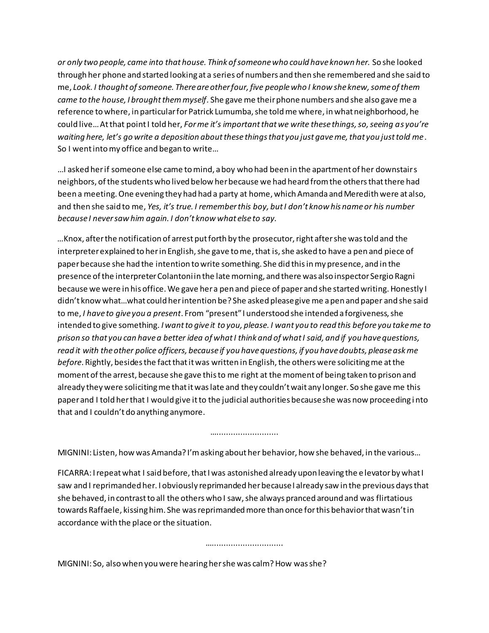*or only two people, came into that house. Think of someone who could have known her.* So she looked through her phone and started looking at a series of numbers and then she remembered and she said to me, *Look. I thought of someone. There are other four, five people who I know she knew, some of them came to the house, I brought them myself.* She gave me their phone numbers and she also gave me a reference to where, in particular for Patrick Lumumba, she told me where, in what neighborhood, he could live… At that point I told her, *For me it's important that we write these things, so, seeing as you're waiting here, let's go write a deposition about these things that you just gave me, that you just told me*. So I went into my office and began to write…

…I asked her if someone else came to mind, a boy who had been in the apartment of her downstairs neighbors, of the students who lived below her because we had heard from the others that there had been a meeting. One evening they had had a party at home, which Amanda and Meredith were at also, and then she said to me, *Yes, it's true. I remember this boy, but I don't know his name or his number because I never saw him again. I don't know what else to say.*

*…*Knox, after the notification of arrest put forth by the prosecutor, right after she was told and the interpreter explained to her in English, she gave to me, that is, she asked to have a pen and piece of paper because she had the intention to write something. She did this in my presence, and in the presence of the interpreter Colantoni in the late morning, and there was also inspector Sergio Ragni because we were in his office. We gave her a pen and piece of paper and she started writing. Honestly I didn't know what…what could her intention be? She asked please give me a pen and paper and she said to me, *I have to give you a present*. From "present" I understood she intended a forgiveness, she intended to give something. *I want to give it to you, please. I want you to read this before you take me to prison so that you can have a better idea of what I think and of what I said, and if you have questions, read it with the other police officers, because if you have questions, if you have doubts, please ask me before*. Rightly, besides the fact that it was written in English, the others were soliciting me at the moment of the arrest, because she gave this to me right at the moment of being taken to prison and already they were soliciting me that it was late and they couldn't wait any longer. So she gave me this paper and I told her that I would give it to the judicial authorities because she was now proceeding i nto that and I couldn't do anything anymore.

MIGNINI: Listen, how was Amanda? I'm asking about her behavior, how she behaved, in the various…

…………………………

FICARRA: I repeat what I said before, that I was astonished already upon leaving the elevator by what I saw and I reprimanded her. I obviously reprimanded her because I already saw in the previous days that she behaved, in contrast to all the others who I saw, she always pranced around and was flirtatious towards Raffaele, kissing him. She was reprimanded more than once for this behavior that wasn't in accordance with the place or the situation.

……………………………………

MIGNINI: So, also when you were hearing her she was calm? How was she?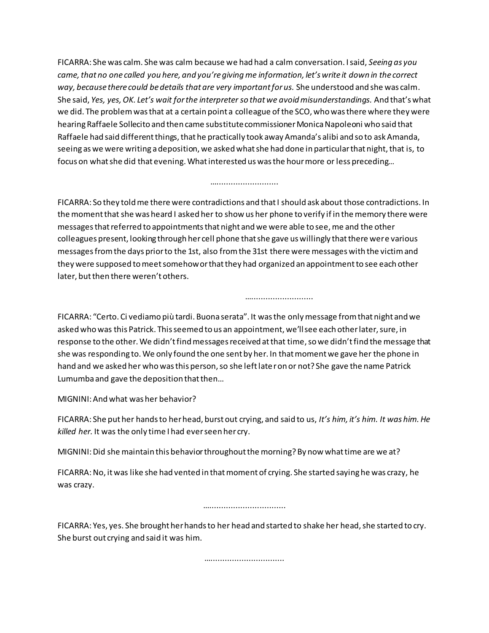FICARRA: She was calm. She was calm because we had had a calm conversation. I said, *Seeing as you came, that no one called you here, and you're giving me information, let's write it down in the correct way, because there could be details that are very important for us.* She understood and she was calm. She said, *Yes, yes, OK. Let's wait for the interpreter so that we avoid misunderstandings.* And that's what we did. The problem was that at a certain point a colleague of the SCO, who was there where they were hearing Raffaele Sollecito and then came substitute commissioner Monica Napoleoni who said that Raffaele had said different things, that he practically took away Amanda's alibi and so to ask Amanda, seeing as we were writing a deposition, we asked what she had done in particular that night, that is, to focus on what she did that evening. What interested us was the hour more or less preceding…

#### …..........................

FICARRA: So they told me there were contradictions and that I should ask about those contradictions. In the moment that she was heard I asked her to show us her phone to verify if in the memory there were messages that referred to appointments that night and we were able to see, me and the other colleagues present, looking through her cell phone that she gave us willingly that there were various messages from the days prior to the 1st, also from the 31st there were messages with the victim and they were supposed to meet somehow or that they had organized an appointment to see each other later, but then there weren't others.

FICARRA: "Certo. Ci vediamo più tardi. Buona serata". It was the only message from that night and we asked who was this Patrick. This seemed to us an appointment, we'll see each other later, sure, in response to the other. We didn't find messages received at that time, so we didn't find the message that she was responding to. We only found the one sent by her. In that moment we gave her the phone in hand and we asked her who was this person, so she left later on or not? She gave the name Patrick Lumumba and gave the deposition that then…

…………………………………

MIGNINI: And what was her behavior?

FICARRA: She put her hands to her head, burst out crying, and said to us, *It's him, it's him. It was him. He killed her.* It was the only time I had ever seen her cry.

MIGNINI: Did she maintain this behavior throughout the morning? By now what time are we at?

FICARRA: No, it was like she had vented in that moment of crying. She started saying he was crazy, he was crazy.

………………………………………

FICARRA: Yes, yes. She brought her hands to her head and started to shake her head, she started to cry. She burst out crying and said it was him.

……………………………………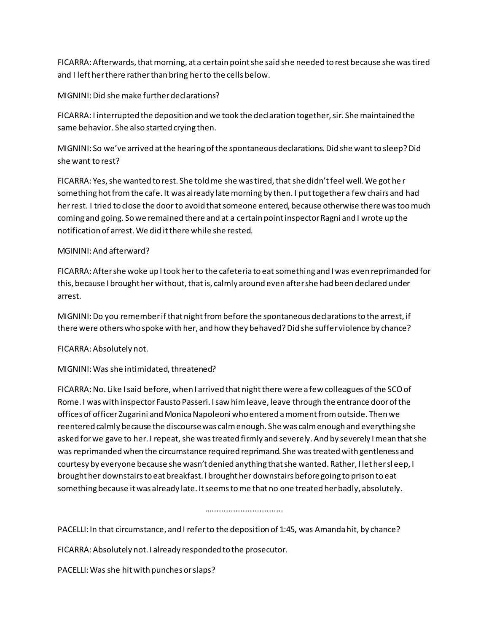FICARRA: Afterwards, that morning, at a certain point she said she needed to rest because she was tired and I left her there rather than bring her to the cells below.

MIGNINI: Did she make further declarations?

FICARRA: I interrupted the deposition and we took the declaration together, sir. She maintained the same behavior. She also started crying then.

MIGNINI: So we've arrived at the hearing of the spontaneous declarations. Did she want to sleep? Did she want to rest?

FICARRA: Yes, she wanted to rest. She told me she was tired, that she didn't feel well. We got he r something hot from the cafe. It was already late morning by then. I put together a few chairs and had her rest. I tried to close the door to avoid that someone entered, because otherwise there was too much coming and going. So we remained there and at a certain point inspector Ragni and I wrote up the notification of arrest. We did it there while she rested.

### MGININI: And afterward?

FICARRA: After she woke up I took her to the cafeteria to eat something and I was even reprimanded for this, because I brought her without, that is, calmly around even after she had been declared under arrest.

MIGNINI: Do you remember if that night from before the spontaneous declarations to the arrest, if there were others who spoke with her, and how they behaved? Did she suffer violence by chance?

# FICARRA: Absolutely not.

# MIGNINI: Was she intimidated, threatened?

FICARRA: No. Like I said before, when I arrived that night there were a few colleagues of the SCO of Rome. I was with inspector Fausto Passeri. I saw him leave, leave through the entrance door of the offices of officer Zugarini and Monica Napoleoni who entered a moment from outside. Then we reentered calmly because the discourse was calm enough. She was calm enough and everything she asked for we gave to her. I repeat, she was treated firmly and severely. And by severely I mean that she was reprimanded when the circumstance required reprimand. She was treated with gentleness and courtesy by everyone because she wasn't denied anything that she wanted. Rather, I let her sl eep, I brought her downstairs to eat breakfast. I brought her downstairs before going to prison to eat something because it was already late. It seems to me that no one treated her badly, absolutely.

#### ……………………………

PACELLI: In that circumstance, and I refer to the deposition of 1:45, was Amanda hit, by chance?

FICARRA: Absolutely not. I already responded to the prosecutor.

PACELLI: Was she hit with punches or slaps?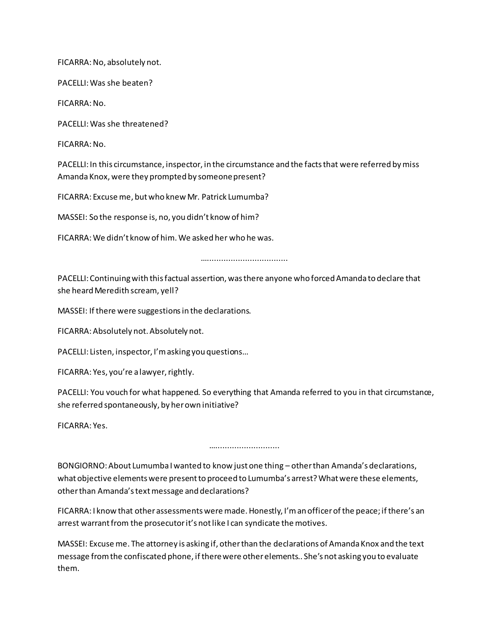FICARRA: No, absolutely not.

PACELLI: Was she beaten?

FICARRA: No.

PACELLI:Was she threatened?

FICARRA: No.

PACELLI: In this circumstance, inspector, in the circumstance and the facts that were referred by miss Amanda Knox, were they prompted by someone present?

FICARRA: Excuse me, but who knew Mr. Patrick Lumumba?

MASSEI: So the response is, no, you didn't know of him?

FICARRA: We didn't know of him. We asked her who he was.

……………………………………

PACELLI: Continuing with this factual assertion, was there anyone who forced Amanda to declare that she heard Meredith scream, yell?

MASSEI: If there were suggestions in the declarations.

FICARRA: Absolutely not. Absolutely not.

PACELLI: Listen, inspector, I'm asking you questions…

FICARRA: Yes, you're a lawyer, rightly.

PACELLI: You vouch for what happened. So everything that Amanda referred to you in that circumstance, she referred spontaneously, by her own initiative?

FICARRA: Yes.

……………………………

BONGIORNO: About Lumumba I wanted to know just one thing – other than Amanda's declarations, what objective elements were present to proceed to Lumumba's arrest? What were these elements, other than Amanda's text message and declarations?

FICARRA: I know that other assessments were made. Honestly, I'm an officer of the peace; if there's an arrest warrant from the prosecutor it's not like I can syndicate the motives.

MASSEI: Excuse me. The attorney is asking if, other than the declarations of Amanda Knox and the text message from the confiscated phone, if there were other elements.. She's not asking you to evaluate them.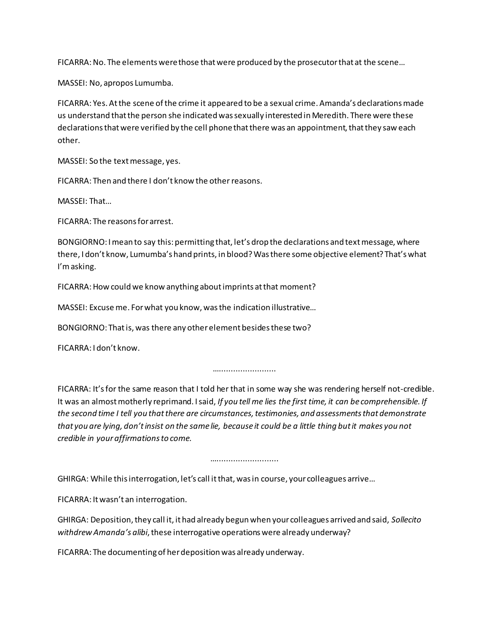FICARRA: No. The elements were those that were produced by the prosecutor that at the scene…

MASSEI: No, apropos Lumumba.

FICARRA: Yes. At the scene of the crime it appeared to be a sexual crime. Amanda's declarations made us understand that the person she indicated was sexually interested in Meredith. There were these declarations that were verified by the cell phone that there was an appointment, that they saw each other.

MASSEI: So the text message, yes.

FICARRA: Then and there I don't know the other reasons.

MASSEI: That…

FICARRA: The reasons for arrest.

BONGIORNO: I mean to say this: permitting that, let's drop the declarations and text message, where there, I don't know, Lumumba's hand prints, in blood? Was there some objective element? That's what I'm asking.

FICARRA: How could we know anything about imprints at that moment?

MASSEI: Excuse me. For what you know, was the indication illustrative…

BONGIORNO: That is, was there any other element besides these two?

FICARRA: I don't know.

………………………

FICARRA: It's for the same reason that I told her that in some way she was rendering herself not-credible. It was an almost motherly reprimand. I said, *If you tell me lies the first time, it can be comprehensible. If the second time I tell you that there are circumstances, testimonies, and assessments that demonstrate that you are lying, don't insist on the same lie, because it could be a little thing but it makes you not credible in your affirmations to come.*

…..........................

GHIRGA: While this interrogation, let's call it that, was in course, your colleagues arrive…

FICARRA: It wasn't an interrogation.

GHIRGA: Deposition, they call it, it had already begun when your colleagues arrived and said, *Sollecito withdrew Amanda's alibi*, these interrogative operations were already underway?

FICARRA: The documenting of her deposition was already underway.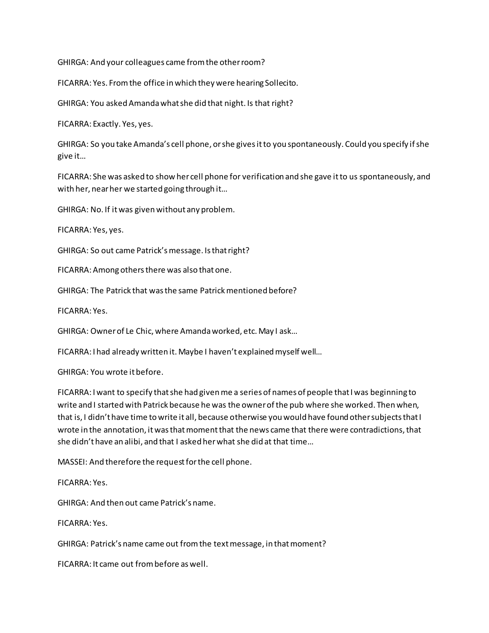GHIRGA: And your colleagues came from the other room?

FICARRA: Yes. From the office in which they were hearing Sollecito.

GHIRGA: You asked Amanda what she did that night. Is that right?

FICARRA: Exactly. Yes, yes.

GHIRGA: So you take Amanda's cell phone, or she gives it to you spontaneously. Could you specify if she give it…

FICARRA: She was asked to show her cell phone for verification and she gave it to us spontaneously, and with her, near her we started going through it…

GHIRGA: No. If it was given without any problem.

FICARRA: Yes, yes.

GHIRGA: So out came Patrick's message. Is that right?

FICARRA: Among others there was also that one.

GHIRGA: The Patrick that was the same Patrick mentioned before?

FICARRA: Yes.

GHIRGA: Owner of Le Chic, where Amanda worked, etc. May I ask…

FICARRA: I had already written it. Maybe I haven't explained myself well…

GHIRGA: You wrote it before.

FICARRA: I want to specify that she had given me a series of names of people that I was beginning to write and I started with Patrick because he was the owner of the pub where she worked. Then when, that is, I didn't have time to write it all, because otherwise you would have found other subjects that I wrote in the annotation, it was that moment that the news came that there were contradictions, that she didn't have an alibi, and that I asked her what she did at that time…

MASSEI: And therefore the request for the cell phone.

FICARRA: Yes.

GHIRGA: And then out came Patrick's name.

FICARRA: Yes.

GHIRGA: Patrick's name came out from the text message, in that moment?

FICARRA: It came out from before as well.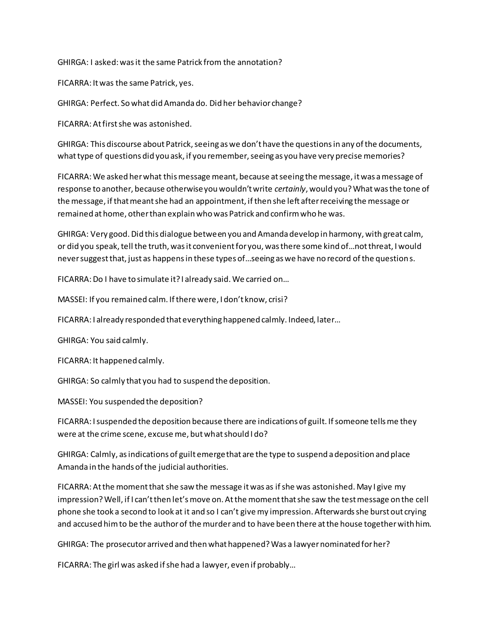GHIRGA: I asked: was it the same Patrick from the annotation?

FICARRA: It was the same Patrick, yes.

GHIRGA: Perfect. So what did Amanda do. Did her behavior change?

FICARRA: At first she was astonished.

GHIRGA: This discourse about Patrick, seeing as we don't have the questions in any of the documents, what type of questions did you ask, if you remember, seeing as you have very precise memories?

FICARRA: We asked her what this message meant, because at seeing the message, it was a message of response to another, because otherwise you wouldn't write *certainly*, would you? What was the tone of the message, if that meant she had an appointment, if then she left after receiving the message or remained at home, other than explain who was Patrick and confirm who he was.

GHIRGA: Very good. Did this dialogue between you and Amanda develop in harmony, with great calm, or did you speak, tell the truth, was it convenient for you, was there some kind of…not threat, I would never suggest that, just as happens in these types of…seeing as we have no record of the questions.

FICARRA: Do I have to simulate it? I already said. We carried on…

MASSEI: If you remained calm. If there were, I don't know, crisi?

FICARRA: I already responded that everything happened calmly. Indeed, later…

GHIRGA: You said calmly.

FICARRA: It happened calmly.

GHIRGA: So calmly that you had to suspend the deposition.

MASSEI: You suspended the deposition?

FICARRA: I suspended the deposition because there are indications of guilt. If someone tells me they were at the crime scene, excuse me, but what should I do?

GHIRGA: Calmly, as indications of guilt emerge that are the type to suspend a deposition and place Amanda in the hands of the judicial authorities.

FICARRA: At the moment that she saw the message it was as if she was astonished. May I give my impression? Well, if I can't then let's move on. At the moment that she saw the test message on the cell phone she took a second to look at it and so I can't give my impression. Afterwards she burst out crying and accused him to be the author of the murder and to have been there at the house together with him.

GHIRGA: The prosecutor arrived and then what happened? Was a lawyer nominated for her?

FICARRA: The girl was asked if she had a lawyer, even if probably…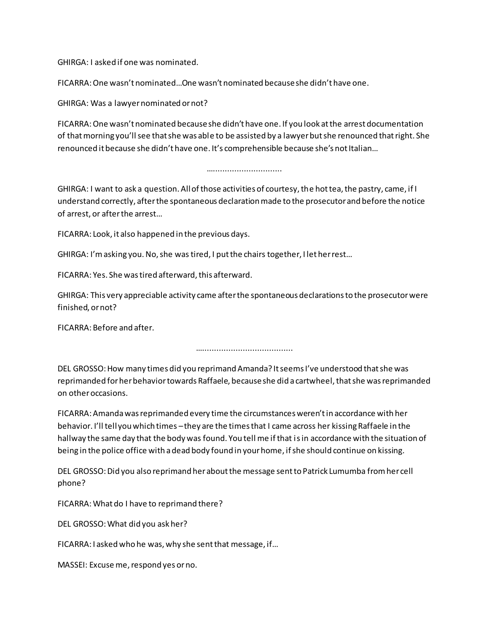GHIRGA: I asked if one was nominated.

FICARRA: One wasn't nominated…One wasn't nominated because she didn't have one.

GHIRGA: Was a lawyer nominated or not?

FICARRA: One wasn't nominated because she didn't have one. If you look at the arrest documentation of that morning you'll see that she was able to be assisted by a lawyer but she renounced that right. She renounced it because she didn't have one. It's comprehensible because she's not Italian…

#### ………………………………………

GHIRGA: I want to ask a question. All of those activities of courtesy, the hot tea, the pastry, came, if I understand correctly, after the spontaneous declaration made to the prosecutor and before the notice of arrest, or after the arrest…

FICARRA: Look, it also happened in the previous days.

GHIRGA: I'm asking you. No, she wastired, I put the chairs together, I let her rest…

FICARRA: Yes. She was tired afterward, this afterward.

GHIRGA: This very appreciable activity came after the spontaneous declarations to the prosecutor were finished, or not?

FICARRA: Before and after.

…………………………………………

DEL GROSSO: How many times did you reprimand Amanda? It seems I've understood that she was reprimanded for her behavior towards Raffaele, because she did a cartwheel, that she was reprimanded on other occasions.

FICARRA: Amanda was reprimanded every time the circumstances weren't in accordance with her behavior. I'll tell you which times –they are the times that I came across her kissing Raffaele in the hallway the same day that the body was found. You tell me if that is in accordance with the situation of being in the police office with a dead body found in your home, if she should continue on kissing.

DEL GROSSO: Did you also reprimand her about the message sent to Patrick Lumumba from her cell phone?

FICARRA: What do I have to reprimand there?

DEL GROSSO: What did you ask her?

FICARRA: I asked who he was, why she sent that message, if…

MASSEI: Excuse me, respond yes or no.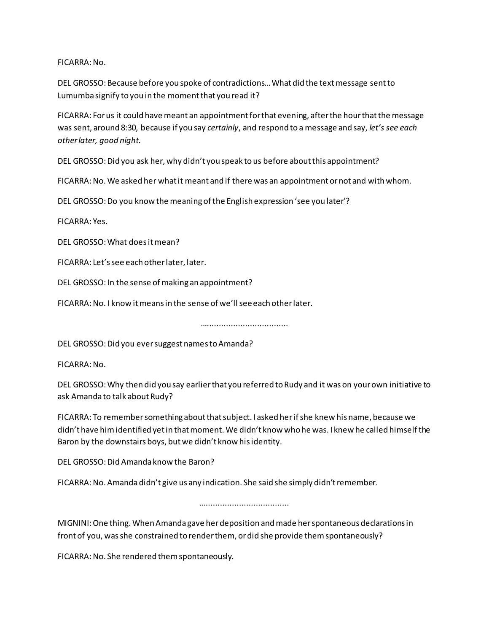FICARRA: No.

DEL GROSSO: Because before you spoke of contradictions… What did the text message sent to Lumumba signify to you in the moment that you read it?

FICARRA: For us it could have meant an appointment for that evening, after the hour that the message was sent, around 8:30, because if you say *certainly*, and respond to a message and say, *let's see each other later, good night.*

DEL GROSSO: Did you ask her, why didn't you speak to us before about this appointment?

FICARRA: No. We asked her what it meant and if there was an appointment or not and with whom.

DEL GROSSO: Do you know the meaning of the English expression 'see you later'?

FICARRA: Yes.

DEL GROSSO: What does it mean?

FICARRA: Let's see each other later, later.

DEL GROSSO: In the sense of making an appointment?

FICARRA: No. I know it means in the sense of we'll see each other later.

……………………………………

DEL GROSSO: Did you ever suggest names to Amanda?

FICARRA: No.

DEL GROSSO: Why then did you say earlier that you referred to Rudy and it was on your own initiative to ask Amanda to talk about Rudy?

FICARRA: To remember something about that subject. I asked her if she knew his name, because we didn't have him identified yet in that moment. We didn't know who he was. I knew he called himself the Baron by the downstairs boys, but we didn't know his identity.

DEL GROSSO: Did Amanda know the Baron?

FICARRA: No. Amanda didn't give us any indication. She said she simply didn't remember.

…………………………………………

MIGNINI: One thing. When Amanda gave her deposition and made her spontaneous declarations in front of you, was she constrained to render them, or did she provide them spontaneously?

FICARRA: No. She rendered them spontaneously.